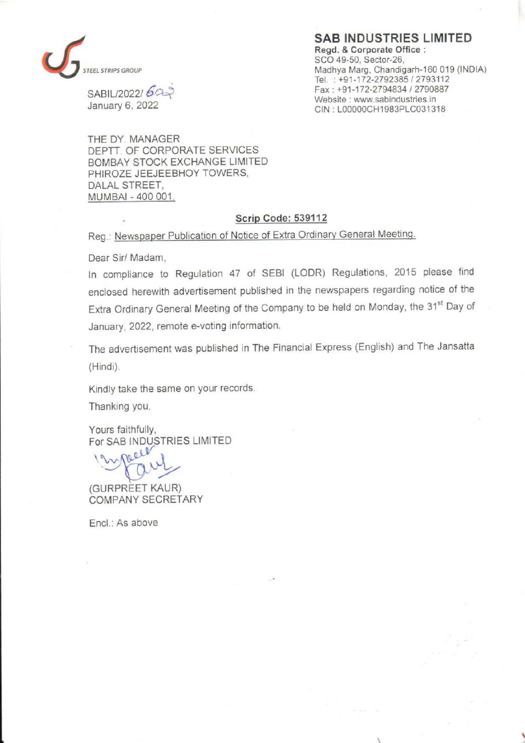

Website: www.sabindustries.in<br>January 6, 2022 CIN (100000CH1983PLC0313)

## SAB INDUSTRIES LIMITED Regd. & Corporate Office : SCO 49-50, Sector-26, EL STRIPS GROUP **STRIPS GROUP** Madhya Marg, Chandigarh-160 019 (INDIA) . Tel. : +91-172-2792385 / 2793112 SABIL/2022/  $6a$

CIN : LOOO00CH1983PLC031318

THE DY. MANAGER DEPTT. OF CORPORATE SERVICES BOMBAY STOCK EXCHANGE LIMITED PHIROZE JEEJEEBHOY TOWERS, DALAL STREET, MUMBAI - 400 001.

## Scrip Code: 539112

Reg.: Newspaper Publication of Notice of Extra Ordinary General Meeting.

Dear Sir/ Madam,

In compliance to Regulation 47 of SEBI (LODR) Regulations, 2015 please find enclosed herewith advertisement published in the newspapers regarding notice of the Extra Ordinary General Meeting of the Company to be held on Monday, the 31<sup>st</sup> Day of January, 2022, remote e-voting information.

The advertisement was published in The Financial Express (English) and The Jansatta (Hindi).

Kindly take the same on your records.

Thanking you,

Yours faithfully, For SAB INDUSTRIES LIMITED

(GURPREET KAUR) COMPANY SECRETARY

Encl.: As above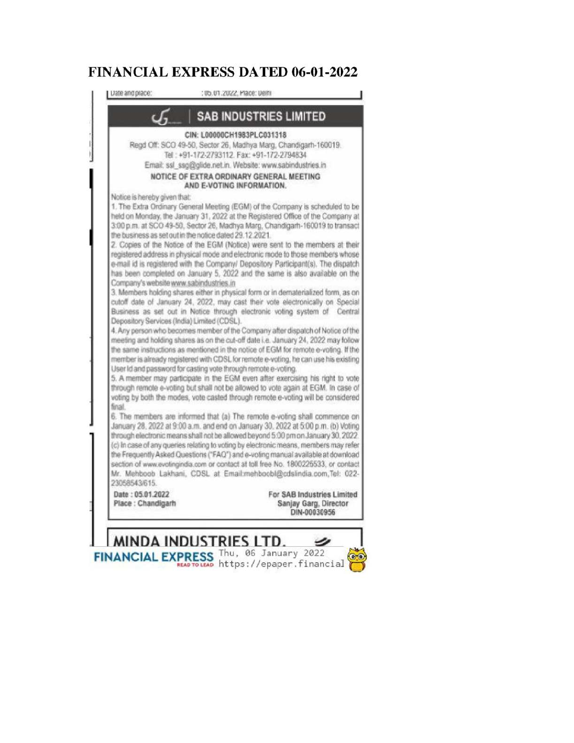## FINANCIAL EXPRESS DATED 06-01-2022



 $FINANCIAL EXPRESS$  Thu, 06 January 2022